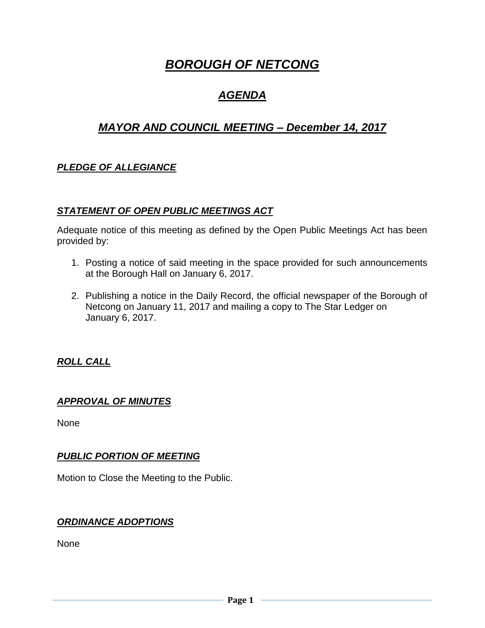# *BOROUGH OF NETCONG*

## *AGENDA*

## *MAYOR AND COUNCIL MEETING – December 14, 2017*

## *PLEDGE OF ALLEGIANCE*

## *STATEMENT OF OPEN PUBLIC MEETINGS ACT*

Adequate notice of this meeting as defined by the Open Public Meetings Act has been provided by:

- 1. Posting a notice of said meeting in the space provided for such announcements at the Borough Hall on January 6, 2017.
- 2. Publishing a notice in the Daily Record, the official newspaper of the Borough of Netcong on January 11, 2017 and mailing a copy to The Star Ledger on January 6, 2017.

## *ROLL CALL*

## *APPROVAL OF MINUTES*

None

## *PUBLIC PORTION OF MEETING*

Motion to Close the Meeting to the Public.

## *ORDINANCE ADOPTIONS*

None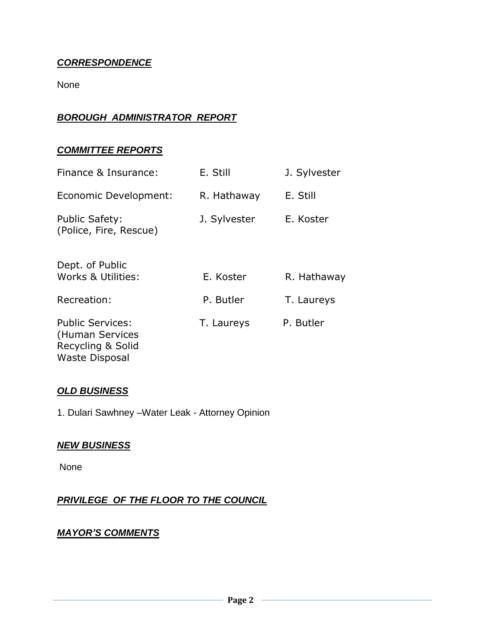## *CORRESPONDENCE*

None

## *BOROUGH ADMINISTRATOR REPORT*

## *COMMITTEE REPORTS*

| Finance & Insurance:                                                                     | E. Still     | J. Sylvester |
|------------------------------------------------------------------------------------------|--------------|--------------|
| Economic Development:                                                                    | R. Hathaway  | E. Still     |
| <b>Public Safety:</b><br>(Police, Fire, Rescue)                                          | J. Sylvester | E. Koster    |
| Dept. of Public<br>Works & Utilities:                                                    | E. Koster    | R. Hathaway  |
| Recreation:                                                                              | P. Butler    | T. Laureys   |
| <b>Public Services:</b><br>(Human Services<br>Recycling & Solid<br><b>Waste Disposal</b> | T. Laureys   | P. Butler    |

## *OLD BUSINESS*

1. Dulari Sawhney –Water Leak - Attorney Opinion

#### *NEW BUSINESS*

None

## *PRIVILEGE OF THE FLOOR TO THE COUNCIL*

## *MAYOR'S COMMENTS*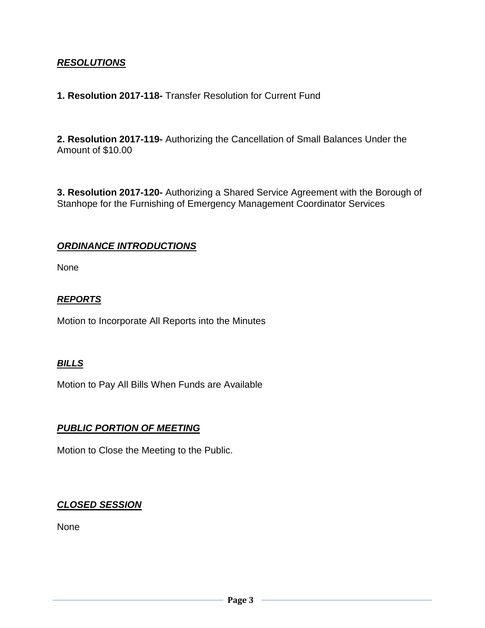## *RESOLUTIONS*

#### **1. Resolution 2017-118-** Transfer Resolution for Current Fund

**2. Resolution 2017-119-** Authorizing the Cancellation of Small Balances Under the Amount of \$10.00

**3. Resolution 2017-120-** Authorizing a Shared Service Agreement with the Borough of Stanhope for the Furnishing of Emergency Management Coordinator Services

#### *ORDINANCE INTRODUCTIONS*

None

#### *REPORTS*

Motion to Incorporate All Reports into the Minutes

#### *BILLS*

Motion to Pay All Bills When Funds are Available

## *PUBLIC PORTION OF MEETING*

Motion to Close the Meeting to the Public.

## *CLOSED SESSION*

None